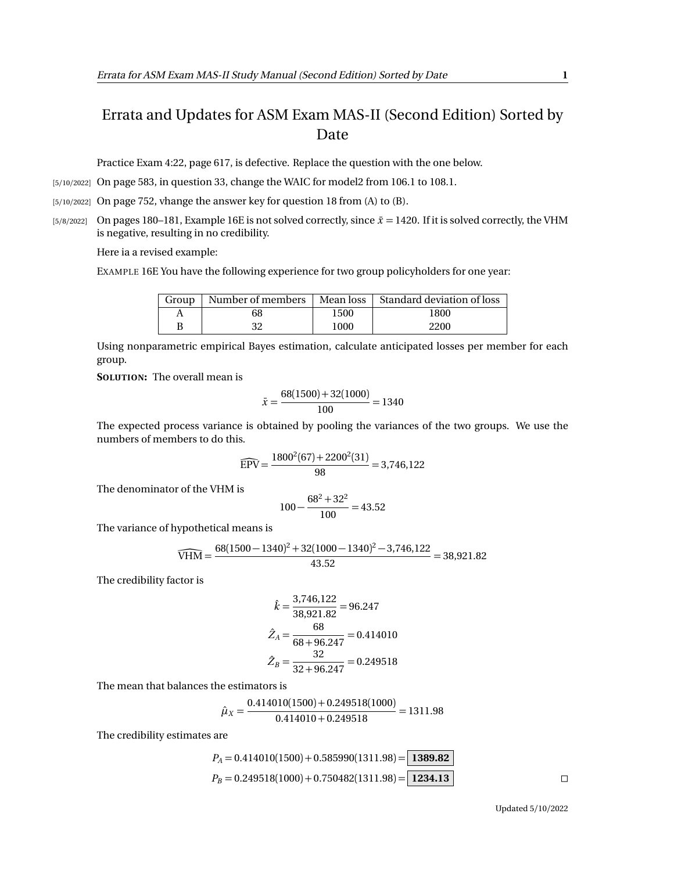## Errata and Updates for ASM Exam MAS-II (Second Edition) Sorted by Date

Practice Exam 4:22, page 617, is defective. Replace the question with the one below.

[5/10/2022] On page 583, in question 33, change the WAIC for model2 from 106.1 to 108.1.

[5/10/2022] On page 752, vhange the answer key for question 18 from (A) to (B).

[5/8/2022] On pages 180–181, Example 16E is not solved correctly, since  $\bar{x} = 1420$ . If it is solved correctly, the VHM is negative, resulting in no credibility.

Here ia a revised example:

EXAMPLE 16E You have the following experience for two group policyholders for one year:

|   |    |      | Group   Number of members   Mean loss   Standard deviation of loss |
|---|----|------|--------------------------------------------------------------------|
|   | 68 | 1500 | 1800                                                               |
| B | 32 | 1000 | 2200                                                               |

Using nonparametric empirical Bayes estimation, calculate anticipated losses per member for each group.

**SOLUTION:** The overall mean is

$$
\bar{x} = \frac{68(1500) + 32(1000)}{100} = 1340
$$

The expected process variance is obtained by pooling the variances of the two groups. We use the numbers of members to do this.

$$
\widehat{\text{EPV}} = \frac{1800^2(67) + 2200^2(31)}{98} = 3,746,122
$$

The denominator of the VHM is

$$
100 - \frac{68^2 + 32^2}{100} = 43.52
$$

The variance of hypothetical means is

$$
\widehat{\text{VHM}} = \frac{68(1500 - 1340)^2 + 32(1000 - 1340)^2 - 3,746,122}{43.52} = 38,921.82
$$

The credibility factor is

$$
\hat{k} = \frac{3,746,122}{38,921.82} = 96.247
$$

$$
\hat{Z}_A = \frac{68}{68 + 96.247} = 0.414010
$$

$$
\hat{Z}_B = \frac{32}{32 + 96.247} = 0.249518
$$

The mean that balances the estimators is

$$
\hat{\mu}_X = \frac{0.414010(1500) + 0.249518(1000)}{0.414010 + 0.249518} = 1311.98
$$

The credibility estimates are

$$
P_A = 0.414010(1500) + 0.585990(1311.98) = \boxed{1389.82}
$$
  
\n
$$
P_B = 0.249518(1000) + 0.750482(1311.98) = \boxed{1234.13}
$$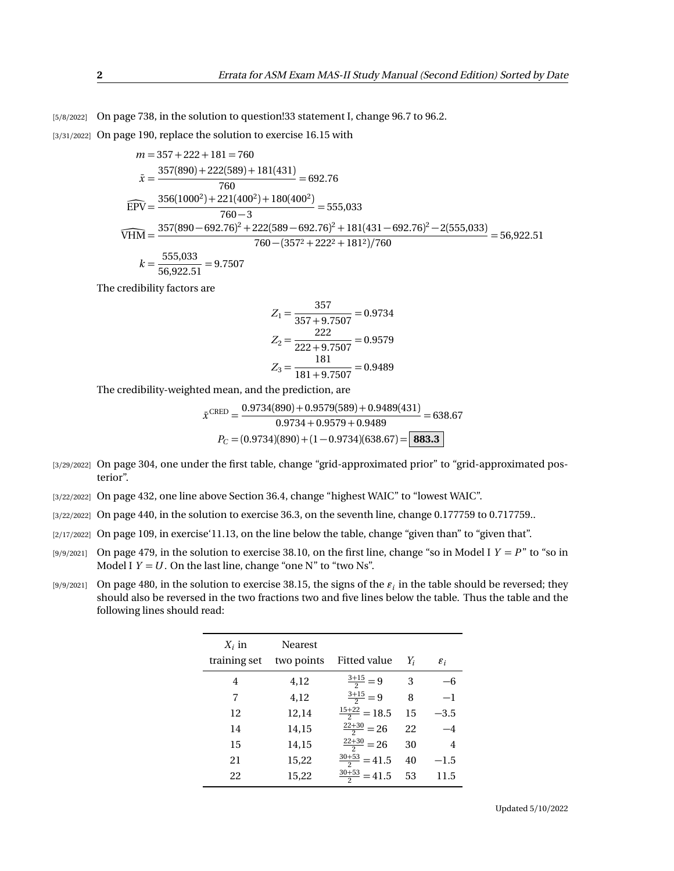[5/8/2022] On page 738, in the solution to question!33 statement I, change 96.7 to 96.2.

[3/31/2022] On page 190, replace the solution to exercise 16.15 with

$$
m = 357 + 222 + 181 = 760
$$
  
\n
$$
\bar{x} = \frac{357(890) + 222(589) + 181(431)}{760} = 692.76
$$
  
\n
$$
\widehat{EPV} = \frac{356(1000^2) + 221(400^2) + 180(400^2)}{760 - 3} = 555,033
$$
  
\n
$$
\widehat{VHM} = \frac{357(890 - 692.76)^2 + 222(589 - 692.76)^2 + 181(431 - 692.76)^2 - 2(555,033)}{760 - (357^2 + 222^2 + 181^2)/760} = 56,922.51
$$
  
\n
$$
k = \frac{555,033}{56,922.51} = 9.7507
$$

The credibility factors are

$$
Z_1 = \frac{357}{357 + 9.7507} = 0.9734
$$

$$
Z_2 = \frac{222}{222 + 9.7507} = 0.9579
$$

$$
Z_3 = \frac{181}{181 + 9.7507} = 0.9489
$$

The credibility-weighted mean, and the prediction, are

$$
\bar{x}^{\text{CRED}} = \frac{0.9734(890) + 0.9579(589) + 0.9489(431)}{0.9734 + 0.9579 + 0.9489} = 638.67
$$

$$
P_C = (0.9734)(890) + (1 - 0.9734)(638.67) = \boxed{\textbf{883.3}}
$$

- [3/29/2022] On page 304, one under the first table, change "grid-approximated prior" to "grid-approximated posterior".
- [3/22/2022] On page 432, one line above Section 36.4, change "highest WAIC" to "lowest WAIC".
- [3/22/2022] On page 440, in the solution to exercise 36.3, on the seventh line, change 0.177759 to 0.717759...
- [2/17/2022] On page 109, in exercise'11.13, on the line below the table, change "given than" to "given that".
- [9/9/2021] On page 479, in the solution to exercise 38.10, on the first line, change "so in Model I  $Y = P$ " to "so in Model I  $Y = U$ . On the last line, change "one N" to "two Ns".
- $_{[9/9/2021]}$  On page 480, in the solution to exercise 38.15, the signs of the  $\varepsilon_i$  in the table should be reversed; they should also be reversed in the two fractions two and five lines below the table. Thus the table and the following lines should read:

| $X_i$ in     | <b>Nearest</b> |                          |    |                 |
|--------------|----------------|--------------------------|----|-----------------|
| training set | two points     | Fitted value             | Y; | $\varepsilon_i$ |
| 4            | 4,12           | $\frac{3+15}{2}=9$       | 3  |                 |
| 7            | 4,12           | $\frac{3+15}{2} = 9$     | 8  | $-1$            |
| 12           | 12,14          | $\frac{15+22}{2} = 18.5$ | 15 | $-3.5$          |
| 14           | 14,15          | $\frac{22+30}{2} = 26$   | 22 | $-4$            |
| 15           | 14,15          | $\frac{22+30}{2} = 26$   | 30 | 4               |
| 21           | 15,22          | $\frac{30+53}{2}$ = 41.5 | 40 | $-1.5$          |
| 22           | 15,22          | $\frac{30+53}{2}$ = 41.5 | 53 | 11.5            |
|              |                |                          |    |                 |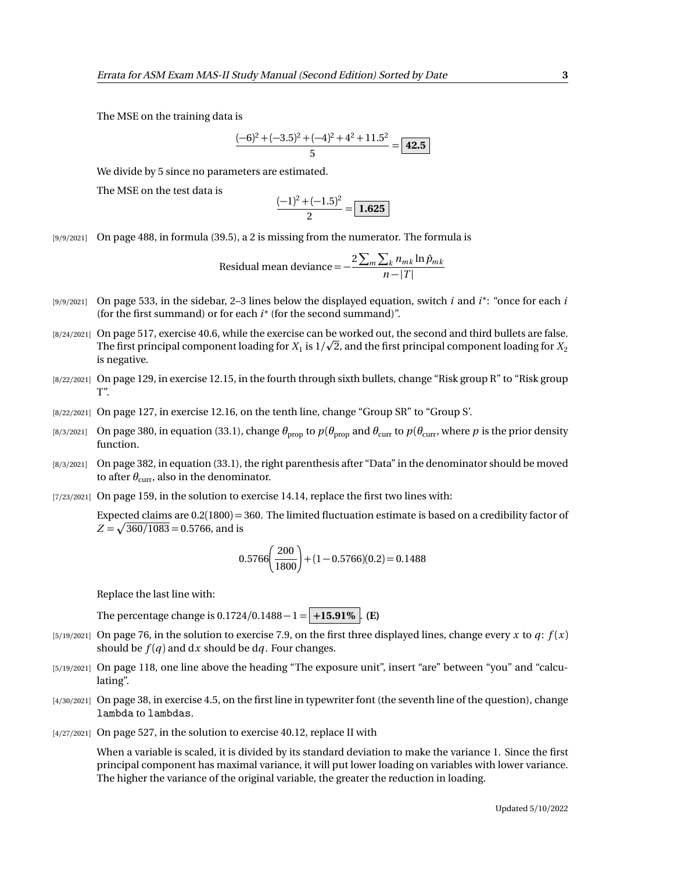The MSE on the training data is

$$
\frac{(-6)^2 + (-3.5)^2 + (-4)^2 + 4^2 + 11.5^2}{5} = \boxed{42.5}
$$

We divide by 5 since no parameters are estimated.

The MSE on the test data is

$$
\frac{(-1)^2 + (-1.5)^2}{2} = \boxed{1.625}
$$

[9/9/2021] On page 488, in formula (39.5), a 2 is missing from the numerator. The formula is

Residual mean deviance = 
$$
-\frac{2\sum_{m}\sum_{k}n_{mk}\ln\hat{p}_{mk}}{n-|T|}
$$

- [9/9/2021] On page 533, in the sidebar, 2–3 lines below the displayed equation, switch *i* and *i* ∗ : "once for each *i* (for the first summand) or for each *i* ∗ (for the second summand)".
- [8/24/2021] On page 517, exercise 40.6, while the exercise can be worked out, the second and third bullets are false. p The first principal component loading for  $X_1$  is  $1/\surd 2$ , and the first principal component loading for  $X_2$ is negative.
- [8/22/2021] On page 129, in exercise 12.15, in the fourth through sixth bullets, change "Risk group R" to "Risk group T".
- [8/22/2021] On page 127, in exercise 12.16, on the tenth line, change "Group SR" to "Group S'.
- [8/3/2021] On page 380, in equation (33.1), change  $θ_{\text{prop}}$  to  $p(θ_{\text{prop}}$  and  $θ_{\text{curr}}$  to  $p(θ_{\text{curr}}$ , where  $p$  is the prior density function.
- [8/3/2021] On page 382, in equation (33.1), the right parenthesis after "Data" in the denominator should be moved to after  $\theta_{\text{curr}}$ , also in the denominator.
- [7/23/2021] On page 159, in the solution to exercise 14.14, replace the first two lines with:

Expected claims are 0.2(1800) = 360. The limited fluctuation estimate is based on a credibility factor of  $Z = \sqrt{360/1083} = 0.5766$ , and is

$$
0.5766 \left(\frac{200}{1800}\right) + (1 - 0.5766)(0.2) = 0.1488
$$

Replace the last line with:

The percentage change is  $0.1724/0.1488 - 1 = +15.91\%$ . **(E)** 

- [5/19/2021] On page 76, in the solution to exercise 7.9, on the first three displayed lines, change every *x* to  $q$ :  $f(x)$ should be  $f(q)$  and dx should be dq. Four changes.
- [5/19/2021] On page 118, one line above the heading "The exposure unit", insert "are" between "you" and "calculating".
- [4/30/2021] On page 38, in exercise 4.5, on the first line in typewriter font (the seventh line of the question), change lambda to lambdas.
- [4/27/2021] On page 527, in the solution to exercise 40.12, replace II with

When a variable is scaled, it is divided by its standard deviation to make the variance 1. Since the first principal component has maximal variance, it will put lower loading on variables with lower variance. The higher the variance of the original variable, the greater the reduction in loading.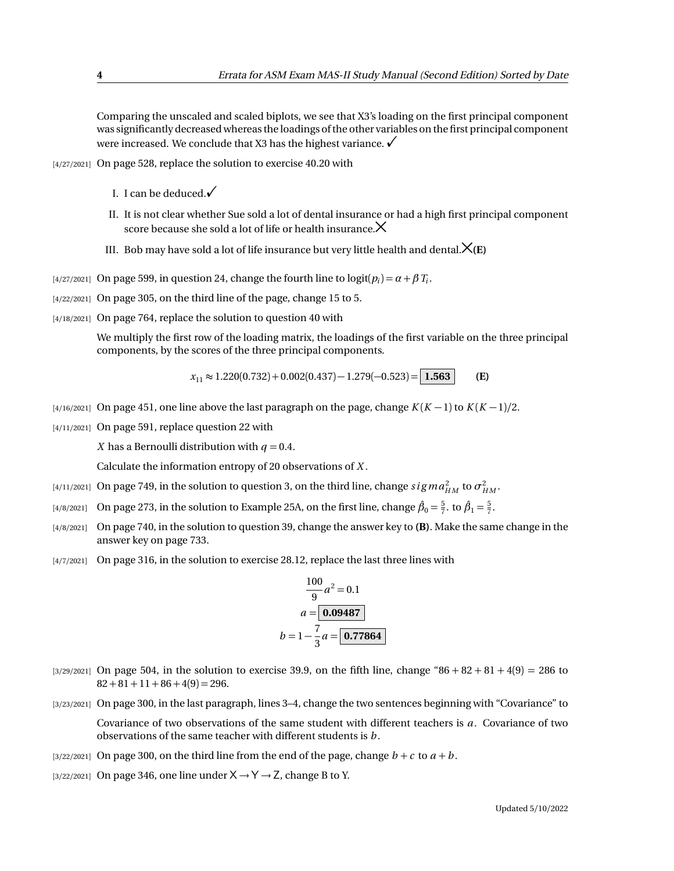Comparing the unscaled and scaled biplots, we see that X3's loading on the first principal component was significantly decreased whereas the loadings of the other variables on the first principal component were increased. We conclude that X3 has the highest variance.  $\checkmark$ 

- [4/27/2021] On page 528, replace the solution to exercise 40.20 with
	- I. I can be deduced. $\checkmark$
	- II. It is not clear whether Sue sold a lot of dental insurance or had a high first principal component score because she sold a lot of life or health insurance. $\times$
	- III. Bob may have sold a lot of life insurance but very little health and dental. $\mathsf{X}(E)$
- [4/27/2021] On page 599, in question 24, change the fourth line to  $logit(p_i) = α + β T_i$ .
- [4/22/2021] On page 305, on the third line of the page, change 15 to 5.
- [4/18/2021] On page 764, replace the solution to question 40 with

We multiply the first row of the loading matrix, the loadings of the first variable on the three principal components, by the scores of the three principal components.

 $x_{11} \approx 1.220(0.732) + 0.002(0.437) - 1.279(-0.523) = 1.563$  **(E)** 

- $\frac{1}{4}$ /16/2021] On page 451, one line above the last paragraph on the page, change  $K(K-1)$  to  $K(K-1)/2$ .
- [4/11/2021] On page 591, replace question 22 with

*X* has a Bernoulli distribution with  $q = 0.4$ .

Calculate the information entropy of 20 observations of *X* .

- [4/11/2021] On page 749, in the solution to question 3, on the third line, change  $sigma_{HM}^2$  to  $\sigma_{HM}^2$ .
- <sup>[4/8/2021]</sup> On page 273, in the solution to Example 25A, on the first line, change  $\hat{\beta}_0 = \frac{5}{7}$ . to  $\hat{\beta}_1 = \frac{5}{7}$ .
- [4/8/2021] On page 740, in the solution to question 39, change the answer key to **(B)**. Make the same change in the answer key on page 733.
- [4/7/2021] On page 316, in the solution to exercise 28.12, replace the last three lines with

$$
\frac{100}{9}a^2 = 0.1
$$
  

$$
a = \boxed{0.09487}
$$
  

$$
b = 1 - \frac{7}{3}a = \boxed{0.77864}
$$

- $[3/29/2021]$  On page 504, in the solution to exercise 39.9, on the fifth line, change "86 + 82 + 81 + 4(9) = 286 to  $82 + 81 + 11 + 86 + 4(9) = 296.$
- [3/23/2021] On page 300, in the last paragraph, lines 3–4, change the two sentences beginning with "Covariance" to Covariance of two observations of the same student with different teachers is *a*. Covariance of two observations of the same teacher with different students is *b* .
- [3/22/2021] On page 300, on the third line from the end of the page, change  $b + c$  to  $a + b$ .
- [3/22/2021] On page 346, one line under  $X \rightarrow Y \rightarrow Z$ , change B to Y.